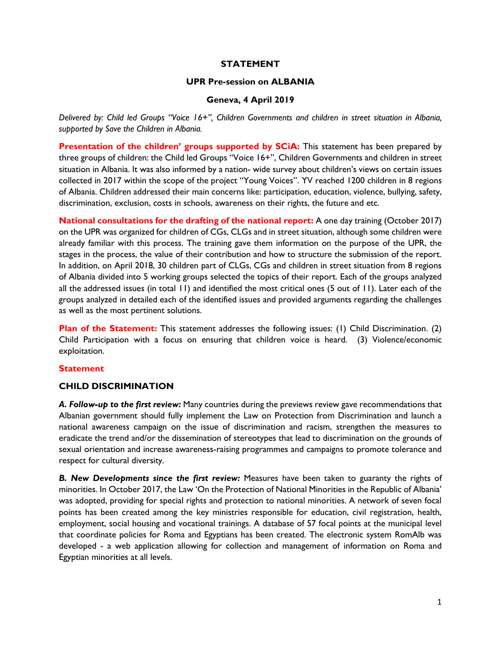## **STATEMENT**

#### **UPR Pre-session on ALBANIA**

## **Geneva, 4 April 2019**

*Delivered by: Child led Groups "Voice 16+", Children Governments and children in street situation in Albania, supported by Save the Children in Albania.*

**Presentation of the children' groups supported by SCiA:** This statement has been prepared by three groups of children: the Child led Groups "Voice 16+", Children Governments and children in street situation in Albania. It was also informed by a nation- wide survey about children's views on certain issues collected in 2017 within the scope of the project "Young Voices". YV reached 1200 children in 8 regions of Albania. Children addressed their main concerns like: participation, education, violence, bullying, safety, discrimination, exclusion, costs in schools, awareness on their rights, the future and etc.

**National consultations for the drafting of the national report:** A one day training (October 2017) on the UPR was organized for children of CGs, CLGs and in street situation, although some children were already familiar with this process. The training gave them information on the purpose of the UPR, the stages in the process, the value of their contribution and how to structure the submission of the report. In addition, on April 2018, 30 children part of CLGs, CGs and children in street situation from 8 regions of Albania divided into 5 working groups selected the topics of their report. Each of the groups analyzed all the addressed issues (in total 11) and identified the most critical ones (5 out of 11). Later each of the groups analyzed in detailed each of the identified issues and provided arguments regarding the challenges as well as the most pertinent solutions.

**Plan of the Statement:** This statement addresses the following issues: (1) Child Discrimination. (2) Child Participation with a focus on ensuring that children voice is heard. (3) Violence/economic exploitation.

#### **Statement**

#### **CHILD DISCRIMINATION**

*A. Follow-up to the first review:* Many countries during the previews review gave recommendations that Albanian government should fully implement the Law on Protection from Discrimination and launch a national awareness campaign on the issue of discrimination and racism, strengthen the measures to eradicate the trend and/or the dissemination of stereotypes that lead to discrimination on the grounds of sexual orientation and increase awareness-raising programmes and campaigns to promote tolerance and respect for cultural diversity.

*B. New Developments since the first review:* Measures have been taken to guaranty the rights of minorities. In October 2017, the Law 'On the Protection of National Minorities in the Republic of Albania' was adopted, providing for special rights and protection to national minorities. A network of seven focal points has been created among the key ministries responsible for education, civil registration, health, employment, social housing and vocational trainings. A database of 57 focal points at the municipal level that coordinate policies for Roma and Egyptians has been created. The electronic system RomAlb was developed - a web application allowing for collection and management of information on Roma and Egyptian minorities at all levels.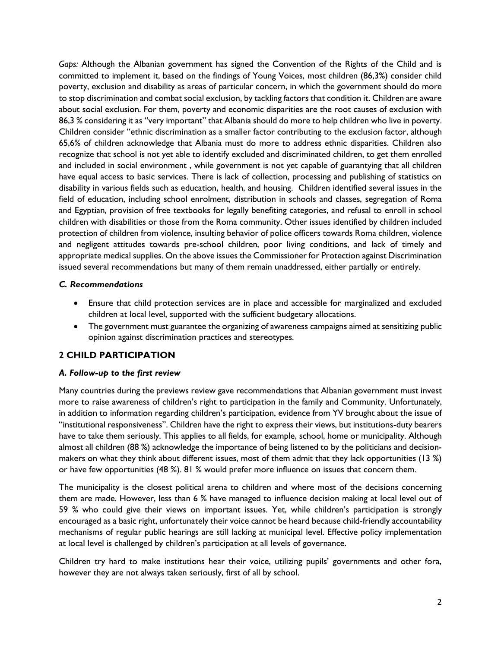*Gaps:* Although the Albanian government has signed the Convention of the Rights of the Child and is committed to implement it, based on the findings of Young Voices, most children (86,3%) consider child poverty, exclusion and disability as areas of particular concern, in which the government should do more to stop discrimination and combat social exclusion, by tackling factors that condition it. Children are aware about social exclusion. For them, poverty and economic disparities are the root causes of exclusion with 86,3 % considering it as "very important" that Albania should do more to help children who live in poverty. Children consider "ethnic discrimination as a smaller factor contributing to the exclusion factor, although 65,6% of children acknowledge that Albania must do more to address ethnic disparities. Children also recognize that school is not yet able to identify excluded and discriminated children, to get them enrolled and included in social environment , while government is not yet capable of guarantying that all children have equal access to basic services. There is lack of collection, processing and publishing of statistics on disability in various fields such as education, health, and housing. Children identified several issues in the field of education, including school enrolment, distribution in schools and classes, segregation of Roma and Egyptian, provision of free textbooks for legally benefiting categories, and refusal to enroll in school children with disabilities or those from the Roma community. Other issues identified by children included protection of children from violence, insulting behavior of police officers towards Roma children, violence and negligent attitudes towards pre-school children, poor living conditions, and lack of timely and appropriate medical supplies. On the above issues the Commissioner for Protection against Discrimination issued several recommendations but many of them remain unaddressed, either partially or entirely.

# *C. Recommendations*

- Ensure that child protection services are in place and accessible for marginalized and excluded children at local level, supported with the sufficient budgetary allocations.
- The government must guarantee the organizing of awareness campaigns aimed at sensitizing public opinion against discrimination practices and stereotypes.

# **2 CHILD PARTICIPATION**

# *A. Follow-up to the first review*

Many countries during the previews review gave recommendations that Albanian government must invest more to raise awareness of children's right to participation in the family and Community. Unfortunately, in addition to information regarding children's participation, evidence from YV brought about the issue of "institutional responsiveness". Children have the right to express their views, but institutions-duty bearers have to take them seriously. This applies to all fields, for example, school, home or municipality. Although almost all children (88 %) acknowledge the importance of being listened to by the politicians and decisionmakers on what they think about different issues, most of them admit that they lack opportunities (13 %) or have few opportunities (48 %). 81 % would prefer more influence on issues that concern them.

The municipality is the closest political arena to children and where most of the decisions concerning them are made. However, less than 6 % have managed to influence decision making at local level out of 59 % who could give their views on important issues. Yet, while children's participation is strongly encouraged as a basic right, unfortunately their voice cannot be heard because child-friendly accountability mechanisms of regular public hearings are still lacking at municipal level. Effective policy implementation at local level is challenged by children's participation at all levels of governance.

Children try hard to make institutions hear their voice, utilizing pupils' governments and other fora, however they are not always taken seriously, first of all by school.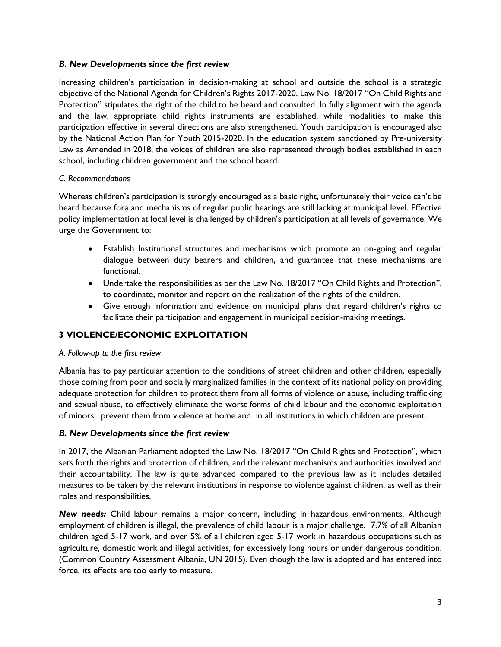## *B. New Developments since the first review*

Increasing children's participation in decision-making at school and outside the school is a strategic objective of the National Agenda for Children's Rights 2017-2020. Law No. 18/2017 "On Child Rights and Protection" stipulates the right of the child to be heard and consulted. In fully alignment with the agenda and the law, appropriate child rights instruments are established, while modalities to make this participation effective in several directions are also strengthened. Youth participation is encouraged also by the National Action Plan for Youth 2015-2020. In the education system sanctioned by Pre-university Law as Amended in 2018, the voices of children are also represented through bodies established in each school, including children government and the school board.

## *C. Recommendations*

Whereas children's participation is strongly encouraged as a basic right, unfortunately their voice can't be heard because fora and mechanisms of regular public hearings are still lacking at municipal level. Effective policy implementation at local level is challenged by children's participation at all levels of governance. We urge the Government to:

- Establish Institutional structures and mechanisms which promote an on-going and regular dialogue between duty bearers and children, and guarantee that these mechanisms are functional.
- Undertake the responsibilities as per the Law No. 18/2017 "On Child Rights and Protection", to coordinate, monitor and report on the realization of the rights of the children.
- Give enough information and evidence on municipal plans that regard children's rights to facilitate their participation and engagement in municipal decision-making meetings.

# **3 VIOLENCE/ECONOMIC EXPLOITATION**

#### *A. Follow-up to the first review*

Albania has to pay particular attention to the conditions of street children and other children, especially those coming from poor and socially marginalized families in the context of its national policy on providing adequate protection for children to protect them from all forms of violence or abuse, including trafficking and sexual abuse, to effectively eliminate the worst forms of child labour and the economic exploitation of minors, prevent them from violence at home and in all institutions in which children are present.

# *B. New Developments since the first review*

In 2017, the Albanian Parliament adopted the Law No. 18/2017 "On Child Rights and Protection", which sets forth the rights and protection of children, and the relevant mechanisms and authorities involved and their accountability. The law is quite advanced compared to the previous law as it includes detailed measures to be taken by the relevant institutions in response to violence against children, as well as their roles and responsibilities.

*New needs:* Child labour remains a major concern, including in hazardous environments. Although employment of children is illegal, the prevalence of child labour is a major challenge. 7.7% of all Albanian children aged 5-17 work, and over 5% of all children aged 5-17 work in hazardous occupations such as agriculture, domestic work and illegal activities, for excessively long hours or under dangerous condition. (Common Country Assessment Albania, UN 2015). Even though the law is adopted and has entered into force, its effects are too early to measure.